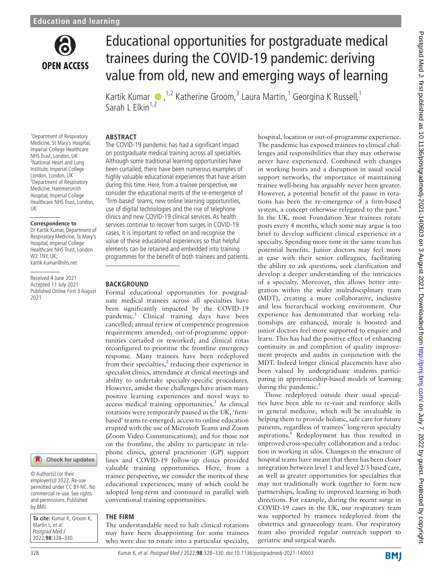

# Educational opportunities for postgraduate medical trainees during the COVID-19 pandemic: deriving value from old, new and emerging ways of learning

Kartik Kumar  $\bullet$ ,<sup>1,2</sup> Katherine Groom,<sup>3</sup> Laura Martin,<sup>1</sup> Georgina K Russell,<sup>1</sup> Sarah L Elkin $1,2$ 

#### **ABSTRACT**

1 Department of Respiratory Medicine, St Mary's Hospital, Imperial College Healthcare NHS Trust, London, UK <sup>2</sup>National Heart and Lung Institute, Imperial College London, London, UK <sup>3</sup>Department of Respiratory Medicine, Hammersmith Hospital, Imperial College Healthcare NHS Trust, London, UK

#### **Correspondence to**

Dr Kartik Kumar, Department of Respiratory Medicine, St Mary's Hospital, Imperial College Healthcare NHS Trust, London W<sub>2</sub> 1NY UK<sup>\*</sup> kartik.kumar@nhs.net

Received 4 June 2021 Accepted 11 July 2021 Published Online First 3 August 2021



© Author(s) (or their employer(s)) 2022. Re-use permitted under CC BY-NC. No commercial re-use. See rights and permissions. Published by BMJ.

| To cite: Kumar K, Groom K, |
|----------------------------|
| Martin L, et al.           |
| Postgrad Med J             |
| 2022:98:328-330.           |

The COVID-19 pandemic has had a significant impact on postgraduate medical training across all specialties. Although some traditional learning opportunities have been curtailed, there have been numerous examples of highly valuable educational experiences that have arisen during this time. Here, from a trainee perspective, we consider the educational merits of the re-emergence of 'firm-based' teams, new online learning opportunities, use of digital technologies and the rise of telephone clinics and new COVID-19 clinical services. As health services continue to recover from surges in COVID-19 cases, it is important to reflect on and recognise the value of these educational experiences so that helpful elements can be retained and embedded into training programmes for the benefit of both trainees and patients.

#### **BACKGROUND**

Formal educational opportunities for postgraduate medical trainees across all specialties have been significantly impacted by the COVID-19 pandemic.<sup>1</sup> Clinical training days have been cancelled; annual review of competence progression requirements amended; out-of-programme opportunities curtailed or reworked; and clinical rotas reconfigured to prioritise the frontline emergency response. Many trainees have been redeployed from their specialties, $2$  reducing their experience in specialist clinics, attendance at clinical meetings and ability to undertake specialty-specific procedures. However, amidst these challenges have arisen many positive learning experiences and novel ways to  $access$  medical training opportunities.<sup>[3](#page-2-2)</sup> As clinical rotations were temporarily paused in the UK, 'firmbased' teams re-emerged; access to online education erupted with the use of Microsoft Teams and Zoom (Zoom Video Communications); and for those not on the frontline, the ability to participate in telephone clinics, general practitioner (GP) support lines and COVID-19 follow-up clinics provided valuable training opportunities. Here, from a trainee perspective, we consider the merits of these educational experiences, many of which could be adopted long-term and continued in parallel with conventional training opportunities.

## **THE FIRM**

The understandable need to halt clinical rotations may have been disappointing for some trainees who were due to rotate into a particular specialty,

hospital, location or out-of-programme experience. The pandemic has exposed trainees to clinical challenges and responsibilities that they may otherwise never have experienced. Combined with changes in working hours and a disruption in usual social support networks, the importance of maintaining trainee well-being has arguably never been greater. However, a potential benefit of the pause in rotations has been the re-emergence of a firm-based system, a concept otherwise relegated to the past.<sup>[4](#page-2-3)</sup> In the UK, most Foundation Year trainees rotate posts every 4 months, which some may argue is too brief to develop sufficient clinical experience in a specialty. Spending more time in the same team has potential benefits. Junior doctors may feel more at ease with their senior colleagues, facilitating the ability to ask questions, seek clarification and develop a deeper understanding of the intricacies of a specialty. Moreover, this allows better integration within the wider multidisciplinary team (MDT), creating a more collaborative, inclusive and less hierarchical working environment. Our experience has demonstrated that working relationships are enhanced, morale is boosted and junior doctors feel more supported to enquire and learn. This has had the positive effect of enhancing continuity in and completion of quality improvement projects and audits in conjunction with the MDT. Indeed longer clinical placements have also been valued by undergraduate students participating in apprenticeship-based models of learning during the pandemic. $\frac{5}{5}$  $\frac{5}{5}$  $\frac{5}{5}$ 

Those redeployed outside their usual specialties have been able to re-visit and reinforce skills in general medicine, which will be invaluable in helping them to provide holistic, safe care for future patients, regardless of trainees' long-term specialty aspirations.<sup>[6](#page-2-5)</sup> Redeployment has thus resulted in improved cross-specialty collaboration and a reduction in working in silos. Changes in the structure of hospital teams have meant that there has been closer integration between level 1 and level 2/3 based care, as well as greater opportunities for specialties that may not traditionally work together to form new partnerships, leading to improved learning in both directions. For example, during the recent surge in COVID-19 cases in the UK, our respiratory team was supported by trainees redeployed from the obstetrics and gynaecology team. Our respiratory team also provided regular outreach support to geriatric and surgical wards.

**BMJ**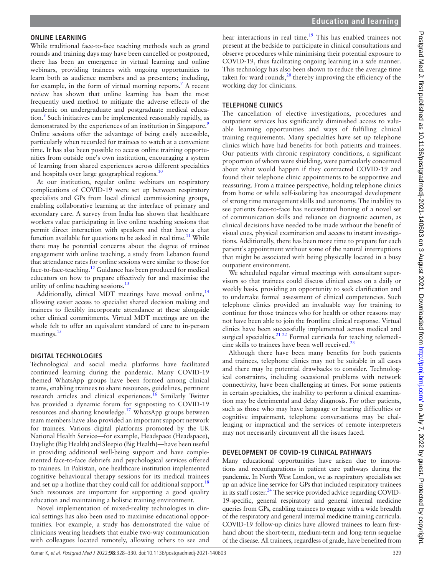#### **ONLINE LEARNING**

While traditional face-to-face teaching methods such as grand rounds and training days may have been cancelled or postponed, there has been an emergence in virtual learning and online webinars, providing trainees with ongoing opportunities to learn both as audience members and as presenters; including, for example, in the form of virtual morning reports.<sup>[7](#page-2-6)</sup> A recent review has shown that online learning has been the most frequently used method to mitigate the adverse effects of the pandemic on undergraduate and postgraduate medical educa-tion.<sup>[8](#page-2-7)</sup> Such initiatives can be implemented reasonably rapidly, as demonstrated by the experiences of an institution in Singapore.<sup>9</sup> Online sessions offer the advantage of being easily accessible, particularly when recorded for trainees to watch at a convenient time. It has also been possible to access online training opportunities from outside one's own institution, encouraging a system of learning from shared experiences across different specialties and hospitals over large geographical regions.<sup>[10](#page-2-9)</sup>

At our institution, regular online webinars on respiratory complications of COVID-19 were set up between respiratory specialists and GPs from local clinical commissioning groups, enabling collaborative learning at the interface of primary and secondary care. A survey from India has shown that healthcare workers value participating in live online teaching sessions that permit direct interaction with speakers and that have a chat function available for questions to be asked in real time.<sup>11</sup> While there may be potential concerns about the degree of trainee engagement with online teaching, a study from Lebanon found that attendance rates for online sessions were similar to those for face-to-face-teaching.[12](#page-2-11) Guidance has been produced for medical educators on how to prepare effectively for and maximise the utility of online teaching sessions. $^{13}$  $^{13}$  $^{13}$ 

Additionally, clinical MDT meetings have moved online,<sup>[14](#page-2-13)</sup> allowing easier access to specialist shared decision making and trainees to flexibly incorporate attendance at these alongside other clinical commitments. Virtual MDT meetings are on the whole felt to offer an equivalent standard of care to in-person meetings.<sup>[15](#page-2-14)</sup>

#### **DIGITAL TECHNOLOGIES**

Technological and social media platforms have facilitated continued learning during the pandemic. Many COVID-19 themed WhatsApp groups have been formed among clinical teams, enabling trainees to share resources, guidelines, pertinent research articles and clinical experiences.<sup>16</sup> Similarly Twitter has provided a dynamic forum for signposting to COVID-19 resources and sharing knowledge.[17](#page-2-16) WhatsApp groups between team members have also provided an important support network for trainees. Various digital platforms promoted by the UK National Health Service—for example, Headspace (Headspace), Daylight (Big Health) and Sleepio (Big Health)—have been useful in providing additional well-being support and have complemented face-to-face debriefs and psychological services offered to trainees. In Pakistan, one healthcare institution implemented cognitive behavioural therapy sessions for its medical trainees and set up a hotline that they could call for additional support.<sup>[18](#page-2-17)</sup> Such resources are important for supporting a good quality education and maintaining a holistic training environment.

Novel implementation of mixed-reality technologies in clinical settings has also been used to maximise educational opportunities. For example, a study has demonstrated the value of clinicians wearing headsets that enable two-way communication with colleagues located remotely, allowing others to see and

hear interactions in real time.<sup>19</sup> This has enabled trainees not present at the bedside to participate in clinical consultations and observe procedures while minimising their potential exposure to COVID-19, thus facilitating ongoing learning in a safe manner. This technology has also been shown to reduce the average time taken for ward rounds, $^{20}$  thereby improving the efficiency of the working day for clinicians.

#### **TELEPHONE CLINICS**

The cancellation of elective investigations, procedures and outpatient services has significantly diminished access to valuable learning opportunities and ways of fulfilling clinical training requirements. Many specialties have set up telephone clinics which have had benefits for both patients and trainees. Our patients with chronic respiratory conditions, a significant proportion of whom were shielding, were particularly concerned about what would happen if they contracted COVID-19 and found their telephone clinic appointments to be supportive and reassuring. From a trainee perspective, holding telephone clinics from home or while self-isolating has encouraged development of strong time management skills and autonomy. The inability to see patients face-to-face has necessitated honing of a novel set of communication skills and reliance on diagnostic acumen, as clinical decisions have needed to be made without the benefit of visual cues, physical examination and access to instant investigations. Additionally, there has been more time to prepare for each patient's appointment without some of the natural interruptions that might be associated with being physically located in a busy outpatient environment.

We scheduled regular virtual meetings with consultant supervisors so that trainees could discuss clinical cases on a daily or weekly basis, providing an opportunity to seek clarification and to undertake formal assessment of clinical competencies. Such telephone clinics provided an invaluable way for training to continue for those trainees who for health or other reasons may not have been able to join the frontline clinical response. Virtual clinics have been successfully implemented across medical and surgical specialties. $^{21 22}$  Formal curricula for teaching telemedi-cine skills to trainees have been well received.<sup>[23](#page-2-21)</sup>

Although there have been many benefits for both patients and trainees, telephone clinics may not be suitable in all cases and there may be potential drawbacks to consider. Technological constraints, including occasional problems with network connectivity, have been challenging at times. For some patients in certain specialties, the inability to perform a clinical examination may be detrimental and delay diagnosis. For other patients, such as those who may have language or hearing difficulties or cognitive impairment, telephone conversations may be challenging or impractical and the services of remote interpreters may not necessarily circumvent all the issues faced.

#### **DEVELOPMENT OF COVID-19 CLINICAL PATHWAYS**

Many educational opportunities have arisen due to innovations and reconfigurations in patient care pathways during the pandemic. In North West London, we as respiratory specialists set up an advice line service for GPs that included respiratory trainees in its staff roster. $^{24}$  The service provided advice regarding COVID-19-specific, general respiratory and general internal medicine queries from GPs, enabling trainees to engage with a wide breadth of the respiratory and general internal medicine training curricula. COVID-19 follow-up clinics have allowed trainees to learn firsthand about the short-term, medium-term and long-term sequelae of the disease. All trainees, regardless of grade, have benefited from